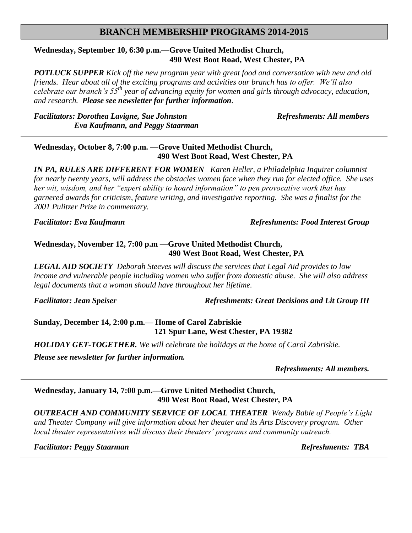## **BRANCH MEMBERSHIP PROGRAMS 2014-2015**

### **Wednesday, September 10, 6:30 p.m.—Grove United Methodist Church, 490 West Boot Road, West Chester, PA**

*POTLUCK SUPPER Kick off the new program year with great food and conversation with new and old friends. Hear about all of the exciting programs and activities our branch has to offer. We'll also celebrate our branch's 55th year of advancing equity for women and girls through advocacy, education, and research. Please see newsletter for further information.*

*Facilitators: Dorothea Lavigne, Sue Johnston Refreshments: All members Eva Kaufmann, and Peggy Staarman*

#### **Wednesday, October 8, 7:00 p.m. —Grove United Methodist Church, 490 West Boot Road, West Chester, PA**

*IN PA, RULES ARE DIFFERENT FOR WOMEN Karen Heller, a Philadelphia Inquirer columnist for nearly twenty years, will address the obstacles women face when they run for elected office. She uses her wit, wisdom, and her "expert ability to hoard information" to pen provocative work that has garnered awards for criticism, feature writing, and investigative reporting. She was a finalist for the 2001 Pulitzer Prize in commentary.*

*Facilitator: Eva Kaufmann Refreshments: Food Interest Group*

#### **Wednesday, November 12, 7:00 p.m —Grove United Methodist Church, 490 West Boot Road, West Chester, PA**

*LEGAL AID SOCIETY Deborah Steeves will discuss the services that Legal Aid provides to low income and vulnerable people including women who suffer from domestic abuse. She will also address legal documents that a woman should have throughout her lifetime.*

*Facilitator: Jean Speiser Refreshments: Great Decisions and Lit Group III*

**Sunday, December 14, 2:00 p.m.— Home of Carol Zabriskie 121 Spur Lane, West Chester, PA 19382**

*HOLIDAY GET-TOGETHER. We will celebrate the holidays at the home of Carol Zabriskie. Please see newsletter for further information.*

*Refreshments: All members.*

# **Wednesday, January 14, 7:00 p.m.—Grove United Methodist Church, 490 West Boot Road, West Chester, PA**

*OUTREACH AND COMMUNITY SERVICE OF LOCAL THEATER Wendy Bable of People's Light and Theater Company will give information about her theater and its Arts Discovery program. Other local theater representatives will discuss their theaters' programs and community outreach.*

*Facilitator: Peggy Staarman Refreshments: TBA*